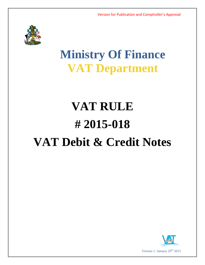

## **Ministry Of Finance VAT Department**

# **VAT RULE # 2015-018 VAT Debit & Credit Notes**

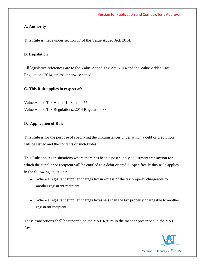### **A. Authority**

This Rule is made under section 17 of the Value Added Act, 2014.

#### **B. Legislation**

All legislative references are to the Value Added Tax Act, 2014 and the Value Added Tax Regulations 2014, unless otherwise stated.

### **C. This Rule applies in respect of:**

Value Added Tax Act, 2014 Section 55 Value Added Tax Regulations, 2014 Regulation 33

### **D. Application of Rule**

This Rule is for the purpose of specifying the circumstances under which a debt or credit note will be issued and the contents of such Notes.

This Rule applies in situations where there has been a post supply adjustment transaction for which the supplier or recipient will be entitled to a debit or credit. Specifically this Rule applies in the following situations:

- Where a registrant supplier charges tax in excess of the tax properly chargeable to another registrant recipient.
- Where a registrant supplier charges taxes less than the tax properly chargeable to another registrant recipient.

These transactions shall be reported on the VAT Return in the manner prescribed in the VAT Act.

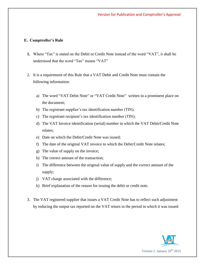#### **E. Comptroller's Rule**

- **1.** Where "Tax" is stated on the Debit or Credit Note instead of the word "VAT", it shall be understood that the word "Tax" means "VAT"
- 2. It is a requirement of this Rule that a VAT Debit and Credit Note must contain the following information:
	- a) The word "VAT Debit Note" or "VAT Credit Note" written in a prominent place on the document;
	- b) The registrant supplier's tax identification number (TIN);
	- c) The registrant recipient's tax identification number (TIN);
	- d) The VAT Invoice identification (serial) number in which the VAT Debit/Credit Note relates;
	- e) Date on which the Debit/Credit Note was issued;
	- f) The date of the original VAT invoice to which the Debit/Credit Note relates;
	- g) The value of supply on the invoice;
	- h) The correct amount of the transaction;
	- i) The difference between the original value of supply and the correct amount of the supply;
	- j) VAT charge associated with the difference;
	- k) Brief explanation of the reason for issuing the debit or credit note.
- 3. The VAT registered supplier that issues a VAT Credit Note has to reflect such adjustment by reducing the output tax reported on the VAT return in the period in which it was issued